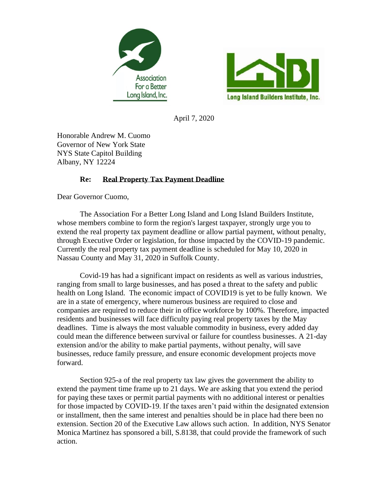



April 7, 2020

Honorable Andrew M. Cuomo Governor of New York State NYS State Capitol Building Albany, NY 12224

## **Re: Real Property Tax Payment Deadline**

Dear Governor Cuomo,

The Association For a Better Long Island and Long Island Builders Institute, whose members combine to form the region's largest taxpayer, strongly urge you to extend the real property tax payment deadline or allow partial payment, without penalty, through Executive Order or legislation, for those impacted by the COVID-19 pandemic. Currently the real property tax payment deadline is scheduled for May 10, 2020 in Nassau County and May 31, 2020 in Suffolk County.

Covid-19 has had a significant impact on residents as well as various industries, ranging from small to large businesses, and has posed a threat to the safety and public health on Long Island. The economic impact of COVID19 is yet to be fully known. We are in a state of emergency, where numerous business are required to close and companies are required to reduce their in office workforce by 100%. Therefore, impacted residents and businesses will face difficulty paying real property taxes by the May deadlines. Time is always the most valuable commodity in business, every added day could mean the difference between survival or failure for countless businesses. A 21-day extension and/or the ability to make partial payments, without penalty, will save businesses, reduce family pressure, and ensure economic development projects move forward.

Section 925-a of the real property tax law gives the government the ability to extend the payment time frame up to 21 days. We are asking that you extend the period for paying these taxes or permit partial payments with no additional interest or penalties for those impacted by COVID-19. If the taxes aren't paid within the designated extension or installment, then the same interest and penalties should be in place had there been no extension. Section 20 of the Executive Law allows such action. In addition, NYS Senator Monica Martinez has sponsored a bill, S.8138, that could provide the framework of such action.